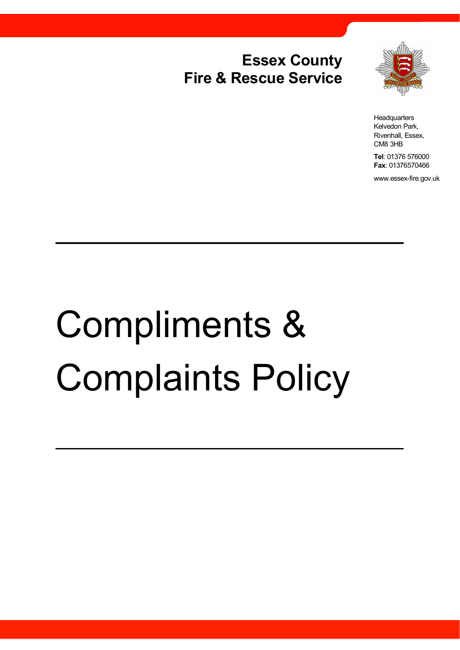## **Essex County Fire & Rescue Service**



**Headquarters** Kelvedon Park, Rivenhall, Essex, CM8 3HB

**Tel**: 01376 576000 **Fax**: 01376570466

www.essex-fire.gov.uk

# Compliments & Complaints Policy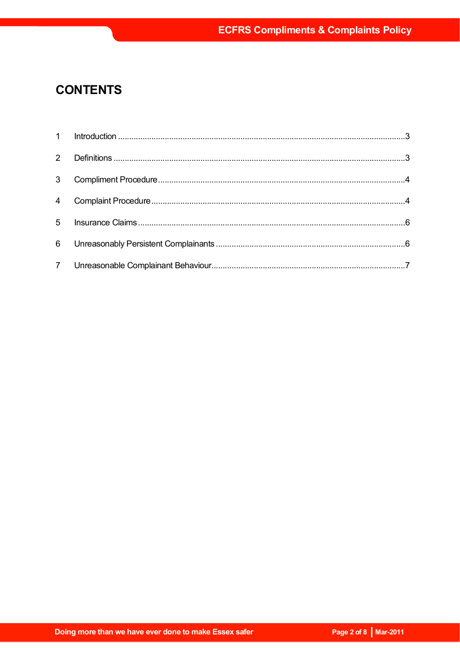### **CONTENTS**

| 3 <sup>7</sup> |  |
|----------------|--|
|                |  |
|                |  |
|                |  |
|                |  |
|                |  |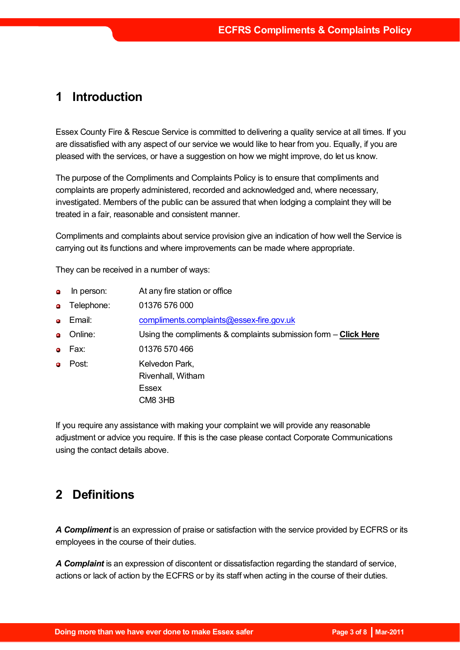#### **1 Introduction**

Essex County Fire & Rescue Service is committed to delivering a quality service at all times. If you are dissatisfied with any aspect of our service we would like to hear from you. Equally, if you are pleased with the services, or have a suggestion on how we might improve, do let us know.

The purpose of the Compliments and Complaints Policy is to ensure that compliments and complaints are properly administered, recorded and acknowledged and, where necessary, investigated. Members of the public can be assured that when lodging a complaint they will be treated in a fair, reasonable and consistent manner.

Compliments and complaints about service provision give an indication of how well the Service is carrying out its functions and where improvements can be made where appropriate.

They can be received in a number of ways:

- In person: At any fire station or office  $\bullet$
- **o** Telephone: 01376 576 000
- Email: compliments.complaints@essex-fire.gov.uk
- Online: Using the compliments & complaints submission form **Click Here**
- Fax: 01376 570 466
- **Post:** Kelvedon Park, Rivenhall, Witham Essex CM8 3HB

If you require any assistance with making your complaint we will provide any reasonable adjustment or advice you require. If this is the case please contact Corporate Communications using the contact details above.

#### **2 Definitions**

*A Compliment* is an expression of praise or satisfaction with the service provided by ECFRS or its employees in the course of their duties.

*A Complaint* is an expression of discontent or dissatisfaction regarding the standard of service, actions or lack of action by the ECFRS or by its staff when acting in the course of their duties.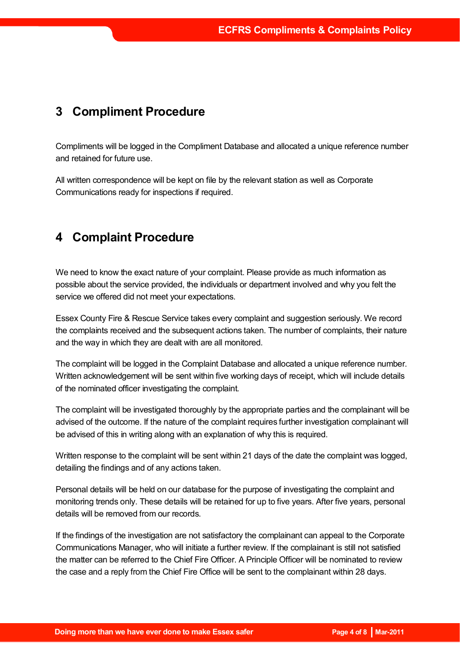#### **3 Compliment Procedure**

Compliments will be logged in the Compliment Database and allocated a unique reference number and retained for future use.

All written correspondence will be kept on file by the relevant station as well as Corporate Communications ready for inspections if required.

#### **4 Complaint Procedure**

We need to know the exact nature of your complaint. Please provide as much information as possible about the service provided, the individuals or department involved and why you felt the service we offered did not meet your expectations.

Essex County Fire & Rescue Service takes every complaint and suggestion seriously. We record the complaints received and the subsequent actions taken. The number of complaints, their nature and the way in which they are dealt with are all monitored.

The complaint will be logged in the Complaint Database and allocated a unique reference number. Written acknowledgement will be sent within five working days of receipt, which will include details of the nominated officer investigating the complaint.

The complaint will be investigated thoroughly by the appropriate parties and the complainant will be advised of the outcome. If the nature of the complaint requires further investigation complainant will be advised of this in writing along with an explanation of why this is required.

Written response to the complaint will be sent within 21 days of the date the complaint was logged, detailing the findings and of any actions taken.

Personal details will be held on our database for the purpose of investigating the complaint and monitoring trends only. These details will be retained for up to five years. After five years, personal details will be removed from our records.

If the findings of the investigation are not satisfactory the complainant can appeal to the Corporate Communications Manager, who will initiate a further review. If the complainant is still not satisfied the matter can be referred to the Chief Fire Officer. A Principle Officer will be nominated to review the case and a reply from the Chief Fire Office will be sent to the complainant within 28 days.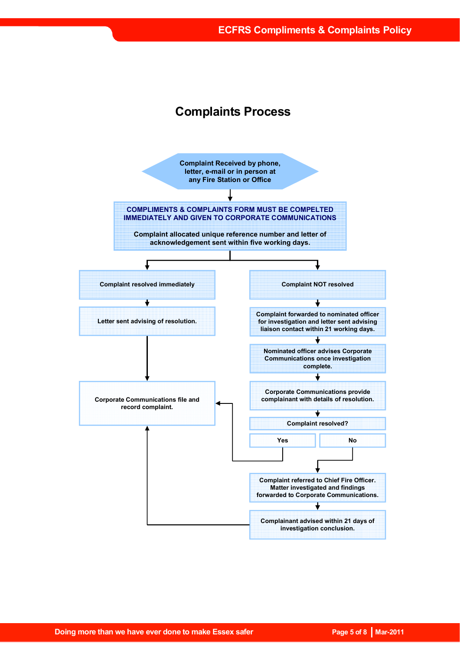#### **Complaints Process**

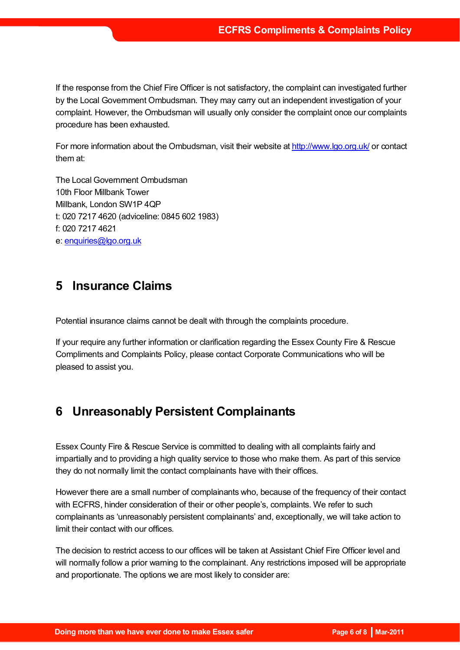If the response from the Chief Fire Officer is not satisfactory, the complaint can investigated further by the Local Government Ombudsman. They may carry out an independent investigation of your complaint. However, the Ombudsman will usually only consider the complaint once our complaints procedure has been exhausted.

For more information about the Ombudsman, visit their website at http://www.lgo.org.uk/ or contact them at:

The Local Government Ombudsman 10th Floor Millbank Tower Millbank, London SW1P 4QP t: 020 7217 4620 (adviceline: 0845 602 1983) f: 020 7217 4621 e: enquiries@lgo.org.uk

#### **5 Insurance Claims**

Potential insurance claims cannot be dealt with through the complaints procedure.

If your require any further information or clarification regarding the Essex County Fire & Rescue Compliments and Complaints Policy, please contact Corporate Communications who will be pleased to assist you.

#### **6 Unreasonably Persistent Complainants**

Essex County Fire & Rescue Service is committed to dealing with all complaints fairly and impartially and to providing a high quality service to those who make them. As part of this service they do not normally limit the contact complainants have with their offices.

However there are a small number of complainants who, because of the frequency of their contact with ECFRS, hinder consideration of their or other people's, complaints. We refer to such complainants as 'unreasonably persistent complainants' and, exceptionally, we will take action to limit their contact with our offices.

The decision to restrict access to our offices will be taken at Assistant Chief Fire Officer level and will normally follow a prior warning to the complainant. Any restrictions imposed will be appropriate and proportionate. The options we are most likely to consider are: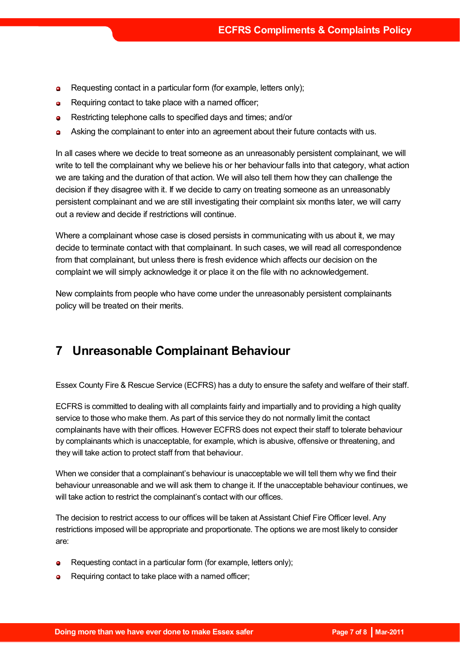- Requesting contact in a particular form (for example, letters only);  $\bullet$
- Requiring contact to take place with a named officer;  $\bullet$
- Restricting telephone calls to specified days and times; and/or  $\bullet$
- Asking the complainant to enter into an agreement about their future contacts with us.  $\bullet$

In all cases where we decide to treat someone as an unreasonably persistent complainant, we will write to tell the complainant why we believe his or her behaviour falls into that category, what action we are taking and the duration of that action. We will also tell them how they can challenge the decision if they disagree with it. If we decide to carry on treating someone as an unreasonably persistent complainant and we are still investigating their complaint six months later, we will carry out a review and decide if restrictions will continue.

Where a complainant whose case is closed persists in communicating with us about it, we may decide to terminate contact with that complainant. In such cases, we will read all correspondence from that complainant, but unless there is fresh evidence which affects our decision on the complaint we will simply acknowledge it or place it on the file with no acknowledgement.

New complaints from people who have come under the unreasonably persistent complainants policy will be treated on their merits.

#### **7 Unreasonable Complainant Behaviour**

Essex County Fire & Rescue Service (ECFRS) has a duty to ensure the safety and welfare of their staff.

ECFRS is committed to dealing with all complaints fairly and impartially and to providing a high quality service to those who make them. As part of this service they do not normally limit the contact complainants have with their offices. However ECFRS does not expect their staff to tolerate behaviour by complainants which is unacceptable, for example, which is abusive, offensive or threatening, and they will take action to protect staff from that behaviour.

When we consider that a complainant's behaviour is unacceptable we will tell them why we find their behaviour unreasonable and we will ask them to change it. If the unacceptable behaviour continues, we will take action to restrict the complainant's contact with our offices.

The decision to restrict access to our offices will be taken at Assistant Chief Fire Officer level. Any restrictions imposed will be appropriate and proportionate. The options we are most likely to consider are:

- Requesting contact in a particular form (for example, letters only);
- **e** Requiring contact to take place with a named officer;